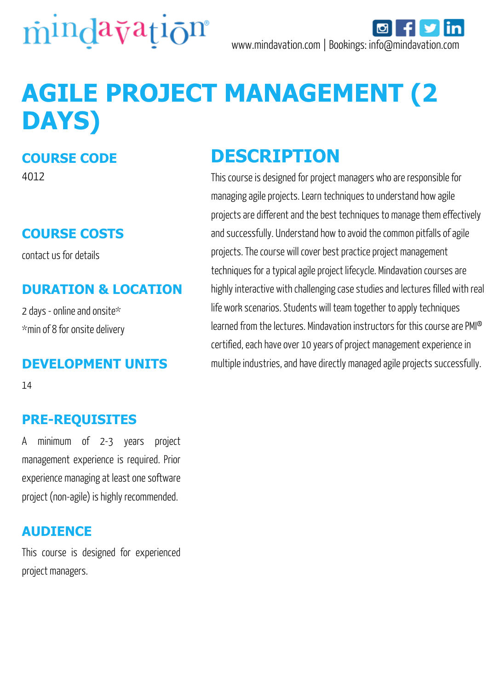

# **AGILE PROJECT MANAGEMENT (2 DAYS)**

#### **COURSE CODE**

4012

## **COURSE COSTS**

contact us for details

### **DURATION & LOCATION**

2 days - online and onsite\* \*min of 8 for onsite delivery

#### **DEVELOPMENT UNITS**

14

## **PRE-REQUISITES**

A minimum of 2-3 years project management experience is required. Prior experience managing at least one software project (non-agile) is highly recommended.

#### **AUDIENCE**

This course is designed for experienced project managers.

# **DESCRIPTION**

This course is designed for project managers who are responsible for managing agile projects. Learn techniques to understand how agile projects are different and the best techniques to manage them effectively and successfully. Understand how to avoid the common pitfalls of agile projects. The course will cover best practice project management techniques for a typical agile project lifecycle. Mindavation courses are highly interactive with challenging case studies and lectures filled with real life work scenarios. Students will team together to apply techniques learned from the lectures. Mindavation instructors for this course are PMI® certified, each have over 10 years of project management experience in multiple industries, and have directly managed agile projects successfully.